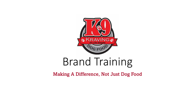

# Brand Training

Making A Difference, Not Just Dog Food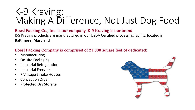#### Boesl Packing Co., Inc. is our company, K-9 Kraving is our brand

K-9 Kraving products are manufactured in our USDA Certified processing facility, located in **Baltimore, Maryland**

#### Boesl Packing Company is comprised of 21,000 square feet of dedicated:

- **Manufacturing**
- On-site Packaging
- Industrial Refrigeration
- Industrial Freezers
- 7 Vintage Smoke Houses
- Convection Dryer
- Protected Dry Storage

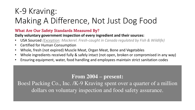#### What Are Our Safety Standards Measured By?

**Daily voluntary government inspection of every ingredient and their sources:**

- USA Sourced *(Exception: Mackerel. Fresh-caught in Canada regulated by Fish & Wildlife)*
- Certified for Human Consumption
- Whole, fresh (not expired) Muscle Meat, Organ Meat, Bone and Vegetables
- Whole ingredients received fully & safely intact (not open, broken or compromised in any way)
- Ensuring equipment, water, food handling and employees maintain strict sanitation codes

### **From 2004 – present:**

Boesl Packing Co., Inc. /K-9 Kraving spent over a quarter of a million dollars on voluntary inspection and food safety assurance.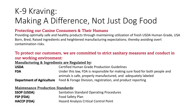#### Protecting our Canine Consumers & Their Humans

Providing optimally safe and healthy products through maintaining utilization of fresh USDA Human Grade, USA Born, Bred, Raised ingredients and heightened manufacturing expectations; thereby avoiding overt contamination risks.

#### To protect our customers, we are committed to strict sanitary measures and conduct in our working environment:

Manufacturing & Ingredients are Regulated by:

| <b>USDA</b> | <b>Certified Human Grade Production Guidelines</b>                                                                     |
|-------------|------------------------------------------------------------------------------------------------------------------------|
| <b>FDA</b>  | Under this law, FDA is responsible for making sure food for both people and                                            |
|             | animals is safe, properly manufactured, and adequately labeled                                                         |
|             | ■ Constant Constant Division Division → Excel Or Excel → Excel → Excel + Excel + Excel + Excel + Excel + Excel + Excel |

**Department of Agriculture** Feed & Forage Division, registration, and product reporting

Maintenance Production Standards:

| <b>SSOP (USDA)</b> | <b>Sanitation Standard Operating Procedures</b> |
|--------------------|-------------------------------------------------|
| FSP (FDA)          | <b>Food Safety Plan</b>                         |
| <b>HACCP (FDA)</b> | <b>Hazard Analysis Critical Control Point</b>   |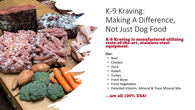

#### K-9 Kraving is manufactured utilizing state-of-the-art, stainless-steel equipment.

**Our:**

- Beef
- Chicken
- Duck
- Rabbit
- Turkey
- Fresh Bone
- Fresh Vegetables
- Patented Vitamin, Mineral & Trace Mineral Mix

#### …are all 100% USA!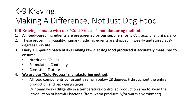#### K-9 Kraving is made with our "Cold-Process" manufacturing method:

- **1. All food-based ingredients are prescreened by our suppliers for:** *E Coli, Salmonella & Listeria*
- 2. These proven high-quality, human-grade ingredients are shipped in weekly and stored at 8 degrees F on-site
- **3. Every 250-pound batch of K-9 Kraving raw diet dog food produced is accurately measured to ensure:**
	- Nutritional Values
	- Formulation Continuity
	- Consistent Texture
- **4. We use our "Cold-Process" manufacturing method:**
	- All food components consistently remain below 28 degrees F throughout the entire production and packaging stages
	- Our team works diligently in a temperature-controlled production area to avoid the introduction of harmful bacteria (from warm products &/or warm environment)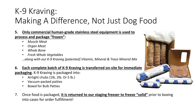- **5. Only commercial human-grade stainless steel equipment is used to process and package "frozen":**
	- *Muscle Meat*
	- *Organ Meat*
	- *Whole Bone*
	- *Fresh Whole Vegetables*
	- *…along with our K-9 Kraving [patented] Vitamin, Mineral & Trace Mineral Mix*

#### **6. Each complete batch of K-9 Kraving is transferred on-site for immediate**

**packaging**. K-9 Kraving is packaged into:

- Airtight chubs (1lb, 2lb. Or 5 lb.)
- Vacuum-packed patties
- Boxed for Bulk Patties
- 7. Once food is packaged, **it is returned to our staging freezer to freeze "solid"** prior to boxing into cases for order fulfillment!